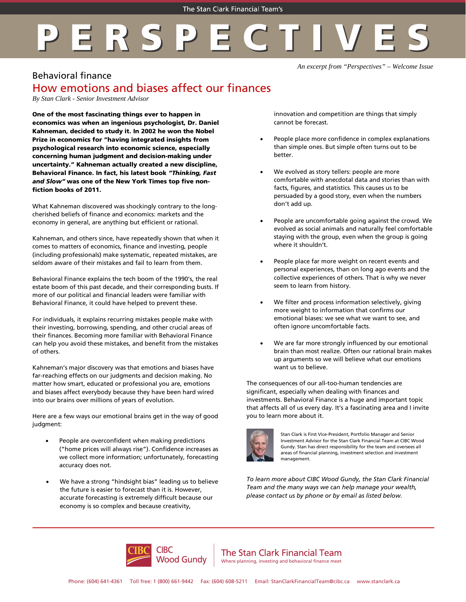## ERSPE

*An excerpt from "Perspectives" – Welcome Issue*

## Behavioral finance

## How emotions and biases affect our finances

*By Stan Clark - Senior Investment Advisor*

One of the most fascinating things ever to happen in economics was when an ingenious psychologist, Dr. Daniel Kahneman, decided to study it. In 2002 he won the Nobel Prize in economics for "having integrated insights from psychological research into economic science, especially concerning human judgment and decision-making under uncertainty." Kahneman actually created a new discipline, Behavioral Finance. In fact, his latest book *"Thinking, Fast and Slow"* was one of the New York Times top five nonfiction books of 2011.

What Kahneman discovered was shockingly contrary to the longcherished beliefs of finance and economics: markets and the economy in general, are anything but efficient or rational.

Kahneman, and others since, have repeatedly shown that when it comes to matters of economics, finance and investing, people (including professionals) make systematic, repeated mistakes, are seldom aware of their mistakes and fail to learn from them.

Behavioral Finance explains the tech boom of the 1990's, the real estate boom of this past decade, and their corresponding busts. If more of our political and financial leaders were familiar with Behavioral Finance, it could have helped to prevent these.

For individuals, it explains recurring mistakes people make with their investing, borrowing, spending, and other crucial areas of their finances. Becoming more familiar with Behavioral Finance can help you avoid these mistakes, and benefit from the mistakes of others.

Kahneman's major discovery was that emotions and biases have far-reaching effects on our judgments and decision making. No matter how smart, educated or professional you are, emotions and biases affect everybody because they have been hard wired into our brains over millions of years of evolution.

Here are a few ways our emotional brains get in the way of good judgment:

- People are overconfident when making predictions ("home prices will always rise"). Confidence increases as we collect more information; unfortunately, forecasting accuracy does not.
- We have a strong "hindsight bias" leading us to believe the future is easier to forecast than it is. However, accurate forecasting is extremely difficult because our economy is so complex and because creativity,

innovation and competition are things that simply cannot be forecast.

- People place more confidence in complex explanations than simple ones. But simple often turns out to be better.
- We evolved as story tellers: people are more comfortable with anecdotal data and stories than with facts, figures, and statistics. This causes us to be persuaded by a good story, even when the numbers don't add up.
- People are uncomfortable going against the crowd. We evolved as social animals and naturally feel comfortable staying with the group, even when the group is going where it shouldn't.
- People place far more weight on recent events and personal experiences, than on long ago events and the collective experiences of others. That is why we never seem to learn from history.
- We filter and process information selectively, giving more weight to information that confirms our emotional biases: we see what we want to see, and often ignore uncomfortable facts.
- We are far more strongly influenced by our emotional brain than most realize. Often our rational brain makes up arguments so we will believe what our emotions want us to believe.

The consequences of our all-too-human tendencies are significant, especially when dealing with finances and investments. Behavioral Finance is a huge and important topic that affects all of us every day. It's a fascinating area and I invite you to learn more about it.



Stan Clark is First Vice-President, Portfolio Manager and Senior Investment Advisor for the Stan Clark Financial Team at CIBC Wood Gundy. Stan has direct responsibility for the team and oversees all areas of financial planning, investment selection and investment management.

*To learn more about CIBC Wood Gundy, the Stan Clark Financial Team and the many ways we can help manage your wealth, please contact us by phone or by email as listed below.*